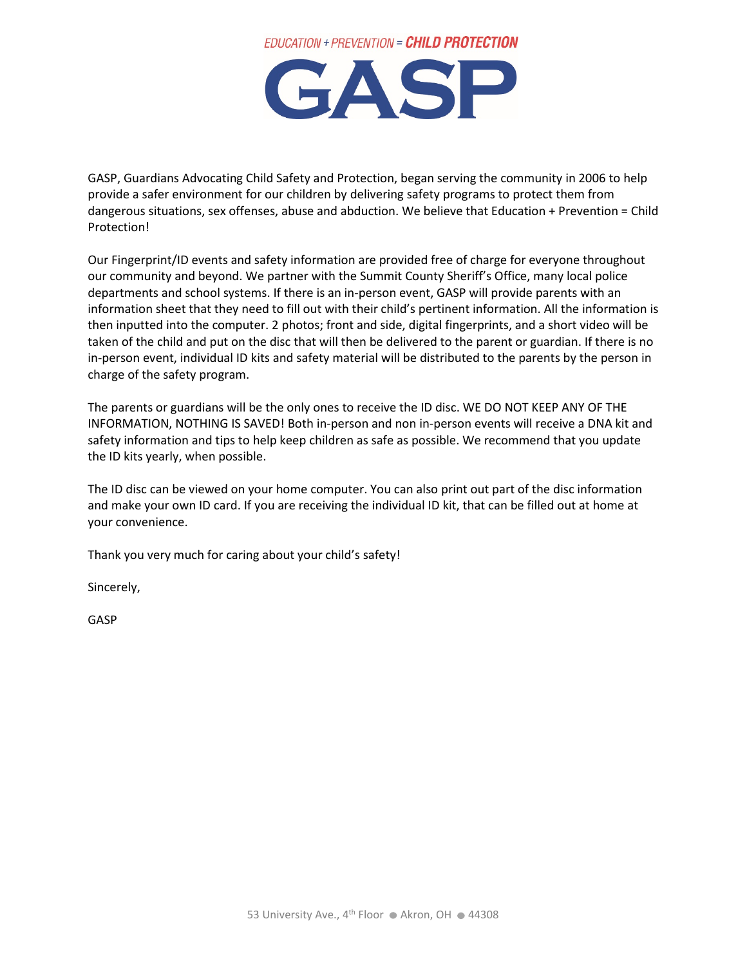



GASP, Guardians Advocating Child Safety and Protection, began serving the community in 2006 to help provide a safer environment for our children by delivering safety programs to protect them from dangerous situations, sex offenses, abuse and abduction. We believe that Education + Prevention = Child Protection!

Our Fingerprint/ID events and safety information are provided free of charge for everyone throughout our community and beyond. We partner with the Summit County Sheriff's Office, many local police departments and school systems. If there is an in-person event, GASP will provide parents with an information sheet that they need to fill out with their child's pertinent information. All the information is then inputted into the computer. 2 photos; front and side, digital fingerprints, and a short video will be taken of the child and put on the disc that will then be delivered to the parent or guardian. If there is no in-person event, individual ID kits and safety material will be distributed to the parents by the person in charge of the safety program.

The parents or guardians will be the only ones to receive the ID disc. WE DO NOT KEEP ANY OF THE INFORMATION, NOTHING IS SAVED! Both in-person and non in-person events will receive a DNA kit and safety information and tips to help keep children as safe as possible. We recommend that you update the ID kits yearly, when possible.

The ID disc can be viewed on your home computer. You can also print out part of the disc information and make your own ID card. If you are receiving the individual ID kit, that can be filled out at home at your convenience.

Thank you very much for caring about your child's safety!

Sincerely,

GASP